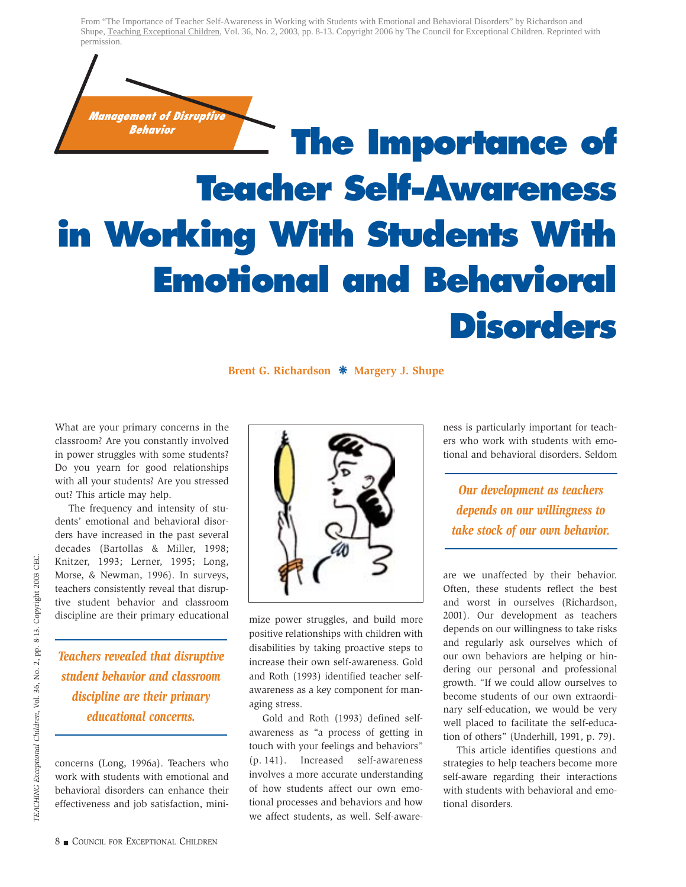From "The Importance of Teacher Self-Awareness in Working with Students with Emotional and Behavioral Disorders" by Richardson and Shupe, Teaching Exceptional Children, Vol. 36, No. 2, 2003, pp. 8-13. Copyright 2006 by The Council for Exceptional Children. Reprinted with permission.



# **The Importance of Teacher Self-Awareness in Working With Students With Emotional and Behavioral Disorders**

**Brent G. Richardson** ❈ **Margery J. Shupe**

What are your primary concerns in the classroom? Are you constantly involved in power struggles with some students? Do you yearn for good relationships with all your students? Are you stressed out? This article may help.

The frequency and intensity of students' emotional and behavioral disorders have increased in the past several decades (Bartollas & Miller, 1998; Knitzer, 1993; Lerner, 1995; Long, Morse, & Newman, 1996). In surveys, teachers consistently reveal that disruptive student behavior and classroom discipline are their primary educational

*Teachers revealed that disruptive student behavior and classroom discipline are their primary educational concerns.*

concerns (Long, 1996a). Teachers who work with students with emotional and behavioral disorders can enhance their effectiveness and job satisfaction, mini-



mize power struggles, and build more positive relationships with children with disabilities by taking proactive steps to increase their own self-awareness. Gold and Roth (1993) identified teacher selfawareness as a key component for managing stress.

Gold and Roth (1993) defined selfawareness as "a process of getting in touch with your feelings and behaviors" (p. 141). Increased self-awareness involves a more accurate understanding of how students affect our own emotional processes and behaviors and how we affect students, as well. Self-awareness is particularly important for teachers who work with students with emotional and behavioral disorders. Seldom

*Our development as teachers depends on our willingness to take stock of our own behavior.*

are we unaffected by their behavior. Often, these students reflect the best and worst in ourselves (Richardson, 2001). Our development as teachers depends on our willingness to take risks and regularly ask ourselves which of our own behaviors are helping or hindering our personal and professional growth. "If we could allow ourselves to become students of our own extraordinary self-education, we would be very well placed to facilitate the self-education of others" (Underhill, 1991, p. 79).

This article identifies questions and strategies to help teachers become more self-aware regarding their interactions with students with behavioral and emotional disorders.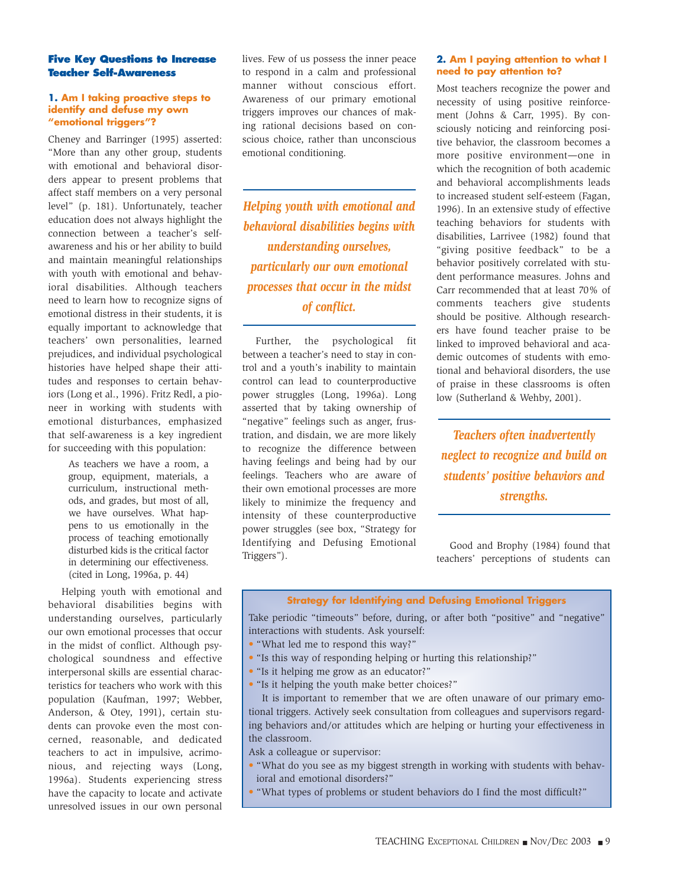#### **Five Key Questions to Increase Teacher Self-Awareness**

#### **1. Am I taking proactive steps to identify and defuse my own "emotional triggers"?**

Cheney and Barringer (1995) asserted: "More than any other group, students with emotional and behavioral disorders appear to present problems that affect staff members on a very personal level" (p. 181). Unfortunately, teacher education does not always highlight the connection between a teacher's selfawareness and his or her ability to build and maintain meaningful relationships with youth with emotional and behavioral disabilities. Although teachers need to learn how to recognize signs of emotional distress in their students, it is equally important to acknowledge that teachers' own personalities, learned prejudices, and individual psychological histories have helped shape their attitudes and responses to certain behaviors (Long et al., 1996). Fritz Redl, a pioneer in working with students with emotional disturbances, emphasized that self-awareness is a key ingredient for succeeding with this population:

> As teachers we have a room, a group, equipment, materials, a curriculum, instructional methods, and grades, but most of all, we have ourselves. What happens to us emotionally in the process of teaching emotionally disturbed kids is the critical factor in determining our effectiveness. (cited in Long, 1996a, p. 44)

Helping youth with emotional and behavioral disabilities begins with understanding ourselves, particularly our own emotional processes that occur in the midst of conflict. Although psychological soundness and effective interpersonal skills are essential characteristics for teachers who work with this population (Kaufman, 1997; Webber, Anderson, & Otey, 1991), certain students can provoke even the most concerned, reasonable, and dedicated teachers to act in impulsive, acrimonious, and rejecting ways (Long, 1996a). Students experiencing stress have the capacity to locate and activate unresolved issues in our own personal

lives. Few of us possess the inner peace to respond in a calm and professional manner without conscious effort. Awareness of our primary emotional triggers improves our chances of making rational decisions based on conscious choice, rather than unconscious emotional conditioning.

*Helping youth with emotional and behavioral disabilities begins with understanding ourselves, particularly our own emotional processes that occur in the midst of conflict.*

Further, the psychological fit between a teacher's need to stay in control and a youth's inability to maintain control can lead to counterproductive power struggles (Long, 1996a). Long asserted that by taking ownership of "negative" feelings such as anger, frustration, and disdain, we are more likely to recognize the difference between having feelings and being had by our feelings. Teachers who are aware of their own emotional processes are more likely to minimize the frequency and intensity of these counterproductive power struggles (see box, "Strategy for Identifying and Defusing Emotional Triggers").

#### **2. Am I paying attention to what I need to pay attention to?**

Most teachers recognize the power and necessity of using positive reinforcement (Johns & Carr, 1995). By consciously noticing and reinforcing positive behavior, the classroom becomes a more positive environment—one in which the recognition of both academic and behavioral accomplishments leads to increased student self-esteem (Fagan, 1996). In an extensive study of effective teaching behaviors for students with disabilities, Larrivee (1982) found that "giving positive feedback" to be a behavior positively correlated with student performance measures. Johns and Carr recommended that at least 70% of comments teachers give students should be positive. Although researchers have found teacher praise to be linked to improved behavioral and academic outcomes of students with emotional and behavioral disorders, the use of praise in these classrooms is often low (Sutherland & Wehby, 2001).

*Teachers often inadvertently neglect to recognize and build on students' positive behaviors and strengths.*

Good and Brophy (1984) found that teachers' perceptions of students can

#### **Strategy for Identifying and Defusing Emotional Triggers**

Take periodic "timeouts" before, during, or after both "positive" and "negative" interactions with students. Ask yourself:

- "What led me to respond this way?"
- "Is this way of responding helping or hurting this relationship?"
- "Is it helping me grow as an educator?"
- "Is it helping the youth make better choices?"

It is important to remember that we are often unaware of our primary emotional triggers. Actively seek consultation from colleagues and supervisors regarding behaviors and/or attitudes which are helping or hurting your effectiveness in the classroom.

- Ask a colleague or supervisor:
- "What do you see as my biggest strength in working with students with behavioral and emotional disorders?"
- "What types of problems or student behaviors do I find the most difficult?"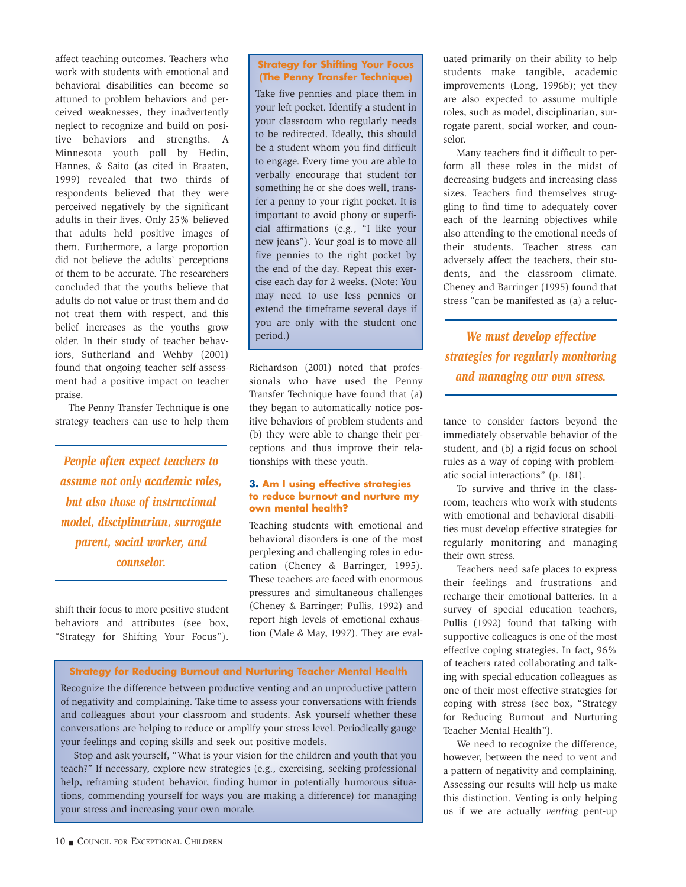affect teaching outcomes. Teachers who work with students with emotional and behavioral disabilities can become so attuned to problem behaviors and perceived weaknesses, they inadvertently neglect to recognize and build on positive behaviors and strengths. A Minnesota youth poll by Hedin, Hannes, & Saito (as cited in Braaten, 1999) revealed that two thirds of respondents believed that they were perceived negatively by the significant adults in their lives. Only 25% believed that adults held positive images of them. Furthermore, a large proportion did not believe the adults' perceptions of them to be accurate. The researchers concluded that the youths believe that adults do not value or trust them and do not treat them with respect, and this belief increases as the youths grow older. In their study of teacher behaviors, Sutherland and Wehby (2001) found that ongoing teacher self-assessment had a positive impact on teacher praise.

The Penny Transfer Technique is one strategy teachers can use to help them

*People often expect teachers to assume not only academic roles, but also those of instructional model, disciplinarian, surrogate parent, social worker, and counselor.*

shift their focus to more positive student behaviors and attributes (see box, "Strategy for Shifting Your Focus").

## **Strategy for Shifting Your Focus (The Penny Transfer Technique)**

Take five pennies and place them in your left pocket. Identify a student in your classroom who regularly needs to be redirected. Ideally, this should be a student whom you find difficult to engage. Every time you are able to verbally encourage that student for something he or she does well, transfer a penny to your right pocket. It is important to avoid phony or superficial affirmations (e.g., "I like your new jeans"). Your goal is to move all five pennies to the right pocket by the end of the day. Repeat this exercise each day for 2 weeks. (Note: You may need to use less pennies or extend the timeframe several days if you are only with the student one period.)

Richardson (2001) noted that professionals who have used the Penny Transfer Technique have found that (a) they began to automatically notice positive behaviors of problem students and (b) they were able to change their perceptions and thus improve their relationships with these youth.

#### **3. Am I using effective strategies to reduce burnout and nurture my own mental health?**

Teaching students with emotional and behavioral disorders is one of the most perplexing and challenging roles in education (Cheney & Barringer, 1995). These teachers are faced with enormous pressures and simultaneous challenges (Cheney & Barringer; Pullis, 1992) and report high levels of emotional exhaustion (Male & May, 1997). They are eval-

**Strategy for Reducing Burnout and Nurturing Teacher Mental Health**

Recognize the difference between productive venting and an unproductive pattern of negativity and complaining. Take time to assess your conversations with friends and colleagues about your classroom and students. Ask yourself whether these conversations are helping to reduce or amplify your stress level. Periodically gauge your feelings and coping skills and seek out positive models.

Stop and ask yourself, "What is your vision for the children and youth that you teach?" If necessary, explore new strategies (e.g., exercising, seeking professional help, reframing student behavior, finding humor in potentially humorous situations, commending yourself for ways you are making a difference) for managing your stress and increasing your own morale.

uated primarily on their ability to help students make tangible, academic improvements (Long, 1996b); yet they are also expected to assume multiple roles, such as model, disciplinarian, surrogate parent, social worker, and counselor.

Many teachers find it difficult to perform all these roles in the midst of decreasing budgets and increasing class sizes. Teachers find themselves struggling to find time to adequately cover each of the learning objectives while also attending to the emotional needs of their students. Teacher stress can adversely affect the teachers, their students, and the classroom climate. Cheney and Barringer (1995) found that stress "can be manifested as (a) a reluc-

*We must develop effective strategies for regularly monitoring and managing our own stress.*

tance to consider factors beyond the immediately observable behavior of the student, and (b) a rigid focus on school rules as a way of coping with problematic social interactions" (p. 181).

To survive and thrive in the classroom, teachers who work with students with emotional and behavioral disabilities must develop effective strategies for regularly monitoring and managing their own stress.

Teachers need safe places to express their feelings and frustrations and recharge their emotional batteries. In a survey of special education teachers, Pullis (1992) found that talking with supportive colleagues is one of the most effective coping strategies. In fact, 96% of teachers rated collaborating and talking with special education colleagues as one of their most effective strategies for coping with stress (see box, "Strategy for Reducing Burnout and Nurturing Teacher Mental Health").

We need to recognize the difference, however, between the need to vent and a pattern of negativity and complaining. Assessing our results will help us make this distinction. Venting is only helping us if we are actually *venting* pent-up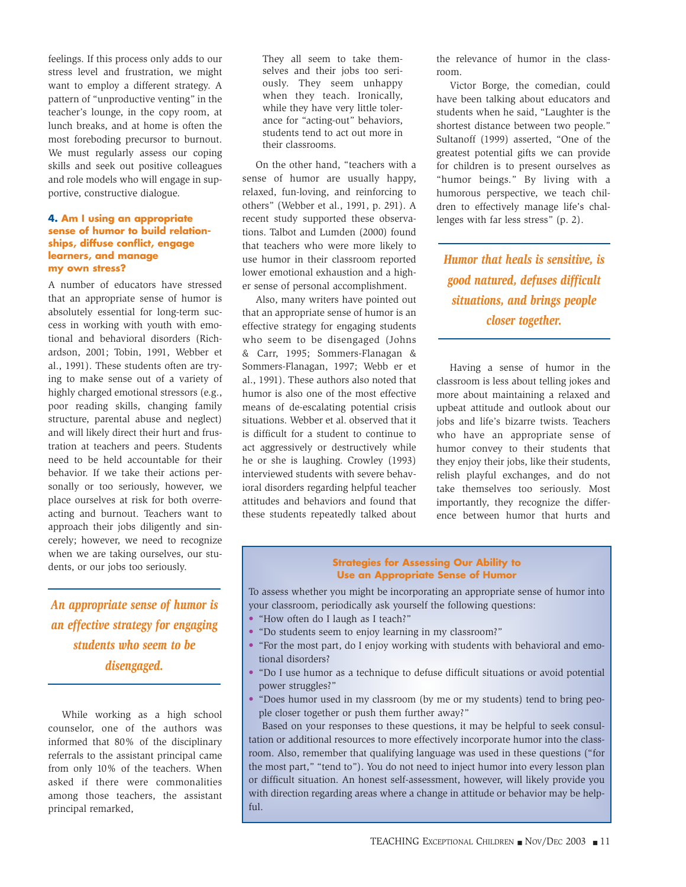feelings. If this process only adds to our stress level and frustration, we might want to employ a different strategy. A pattern of "unproductive venting" in the teacher's lounge, in the copy room, at lunch breaks, and at home is often the most foreboding precursor to burnout. We must regularly assess our coping skills and seek out positive colleagues and role models who will engage in supportive, constructive dialogue.

#### **4. Am I using an appropriate sense of humor to build relationships, diffuse conflict, engage learners, and manage my own stress?**

A number of educators have stressed that an appropriate sense of humor is absolutely essential for long-term success in working with youth with emotional and behavioral disorders (Richardson, 2001; Tobin, 1991, Webber et al., 1991). These students often are trying to make sense out of a variety of highly charged emotional stressors (e.g., poor reading skills, changing family structure, parental abuse and neglect) and will likely direct their hurt and frustration at teachers and peers. Students need to be held accountable for their behavior. If we take their actions personally or too seriously, however, we place ourselves at risk for both overreacting and burnout. Teachers want to approach their jobs diligently and sincerely; however, we need to recognize when we are taking ourselves, our students, or our jobs too seriously.

*An appropriate sense of humor is an effective strategy for engaging students who seem to be disengaged.*

While working as a high school counselor, one of the authors was informed that 80% of the disciplinary referrals to the assistant principal came from only 10% of the teachers. When asked if there were commonalities among those teachers, the assistant principal remarked,

They all seem to take themselves and their jobs too seriously. They seem unhappy when they teach. Ironically, while they have very little tolerance for "acting-out" behaviors, students tend to act out more in their classrooms.

On the other hand, "teachers with a sense of humor are usually happy, relaxed, fun-loving, and reinforcing to others" (Webber et al., 1991, p. 291). A recent study supported these observations. Talbot and Lumden (2000) found that teachers who were more likely to use humor in their classroom reported lower emotional exhaustion and a higher sense of personal accomplishment.

Also, many writers have pointed out that an appropriate sense of humor is an effective strategy for engaging students who seem to be disengaged (Johns & Carr, 1995; Sommers-Flanagan & Sommers-Flanagan, 1997; Webb er et al., 1991). These authors also noted that humor is also one of the most effective means of de-escalating potential crisis situations. Webber et al. observed that it is difficult for a student to continue to act aggressively or destructively while he or she is laughing. Crowley (1993) interviewed students with severe behavioral disorders regarding helpful teacher attitudes and behaviors and found that these students repeatedly talked about

the relevance of humor in the classroom.

Victor Borge, the comedian, could have been talking about educators and students when he said, "Laughter is the shortest distance between two people." Sultanoff (1999) asserted, "One of the greatest potential gifts we can provide for children is to present ourselves as "humor beings." By living with a humorous perspective, we teach children to effectively manage life's challenges with far less stress" (p. 2).

*Humor that heals is sensitive, is good natured, defuses difficult situations, and brings people closer together.*

Having a sense of humor in the classroom is less about telling jokes and more about maintaining a relaxed and upbeat attitude and outlook about our jobs and life's bizarre twists. Teachers who have an appropriate sense of humor convey to their students that they enjoy their jobs, like their students, relish playful exchanges, and do not take themselves too seriously. Most importantly, they recognize the difference between humor that hurts and

#### **Strategies for Assessing Our Ability to Use an Appropriate Sense of Humor**

To assess whether you might be incorporating an appropriate sense of humor into your classroom, periodically ask yourself the following questions:

- "How often do I laugh as I teach?"
- "Do students seem to enjoy learning in my classroom?"
- "For the most part, do I enjoy working with students with behavioral and emotional disorders?
- "Do I use humor as a technique to defuse difficult situations or avoid potential power struggles?"
- "Does humor used in my classroom (by me or my students) tend to bring people closer together or push them further away?"

Based on your responses to these questions, it may be helpful to seek consultation or additional resources to more effectively incorporate humor into the classroom. Also, remember that qualifying language was used in these questions ("for the most part," "tend to"). You do not need to inject humor into every lesson plan or difficult situation. An honest self-assessment, however, will likely provide you with direction regarding areas where a change in attitude or behavior may be helpful.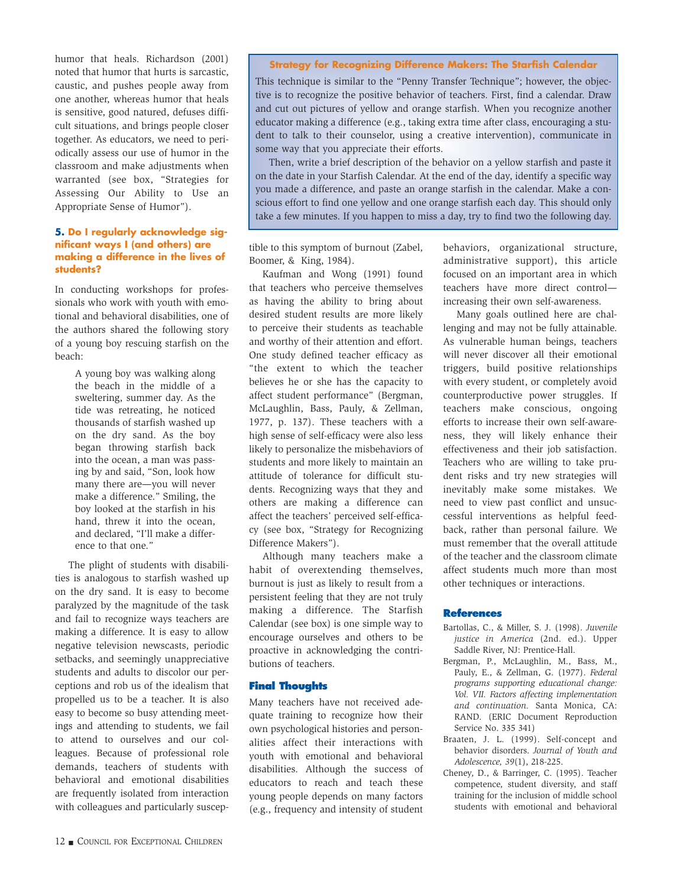humor that heals. Richardson (2001) noted that humor that hurts is sarcastic, caustic, and pushes people away from one another, whereas humor that heals is sensitive, good natured, defuses difficult situations, and brings people closer together. As educators, we need to periodically assess our use of humor in the classroom and make adjustments when warranted (see box, "Strategies for Assessing Our Ability to Use an Appropriate Sense of Humor").

#### **5. Do I regularly acknowledge significant ways I (and others) are making a difference in the lives of students?**

In conducting workshops for professionals who work with youth with emotional and behavioral disabilities, one of the authors shared the following story of a young boy rescuing starfish on the beach:

> A young boy was walking along the beach in the middle of a sweltering, summer day. As the tide was retreating, he noticed thousands of starfish washed up on the dry sand. As the boy began throwing starfish back into the ocean, a man was passing by and said, "Son, look how many there are—you will never make a difference." Smiling, the boy looked at the starfish in his hand, threw it into the ocean, and declared, "I'll make a difference to that one."

The plight of students with disabilities is analogous to starfish washed up on the dry sand. It is easy to become paralyzed by the magnitude of the task and fail to recognize ways teachers are making a difference. It is easy to allow negative television newscasts, periodic setbacks, and seemingly unappreciative students and adults to discolor our perceptions and rob us of the idealism that propelled us to be a teacher. It is also easy to become so busy attending meetings and attending to students, we fail to attend to ourselves and our colleagues. Because of professional role demands, teachers of students with behavioral and emotional disabilities are frequently isolated from interaction with colleagues and particularly suscep-

#### **Strategy for Recognizing Difference Makers: The Starfish Calendar**

This technique is similar to the "Penny Transfer Technique"; however, the objective is to recognize the positive behavior of teachers. First, find a calendar. Draw and cut out pictures of yellow and orange starfish. When you recognize another educator making a difference (e.g., taking extra time after class, encouraging a student to talk to their counselor, using a creative intervention), communicate in some way that you appreciate their efforts.

Then, write a brief description of the behavior on a yellow starfish and paste it on the date in your Starfish Calendar. At the end of the day, identify a specific way you made a difference, and paste an orange starfish in the calendar. Make a conscious effort to find one yellow and one orange starfish each day. This should only take a few minutes. If you happen to miss a day, try to find two the following day.

tible to this symptom of burnout (Zabel, Boomer, & King, 1984).

Kaufman and Wong (1991) found that teachers who perceive themselves as having the ability to bring about desired student results are more likely to perceive their students as teachable and worthy of their attention and effort. One study defined teacher efficacy as "the extent to which the teacher believes he or she has the capacity to affect student performance" (Bergman, McLaughlin, Bass, Pauly, & Zellman, 1977, p. 137). These teachers with a high sense of self-efficacy were also less likely to personalize the misbehaviors of students and more likely to maintain an attitude of tolerance for difficult students. Recognizing ways that they and others are making a difference can affect the teachers' perceived self-efficacy (see box, "Strategy for Recognizing Difference Makers").

Although many teachers make a habit of overextending themselves, burnout is just as likely to result from a persistent feeling that they are not truly making a difference. The Starfish Calendar (see box) is one simple way to encourage ourselves and others to be proactive in acknowledging the contributions of teachers.

#### **Final Thoughts**

Many teachers have not received adequate training to recognize how their own psychological histories and personalities affect their interactions with youth with emotional and behavioral disabilities. Although the success of educators to reach and teach these young people depends on many factors (e.g., frequency and intensity of student behaviors, organizational structure, administrative support), this article focused on an important area in which teachers have more direct control increasing their own self-awareness.

Many goals outlined here are challenging and may not be fully attainable. As vulnerable human beings, teachers will never discover all their emotional triggers, build positive relationships with every student, or completely avoid counterproductive power struggles. If teachers make conscious, ongoing efforts to increase their own self-awareness, they will likely enhance their effectiveness and their job satisfaction. Teachers who are willing to take prudent risks and try new strategies will inevitably make some mistakes. We need to view past conflict and unsuccessful interventions as helpful feedback, rather than personal failure. We must remember that the overall attitude of the teacher and the classroom climate affect students much more than most other techniques or interactions.

#### **References**

- Bartollas, C., & Miller, S. J. (1998). *Juvenile justice in America* (2nd. ed.). Upper Saddle River, NJ: Prentice-Hall.
- Bergman, P., McLaughlin, M., Bass, M., Pauly, E., & Zellman, G. (1977). *Federal programs supporting educational change: Vol. VII. Factors affecting implementation and continuation.* Santa Monica, CA: RAND. (ERIC Document Reproduction Service No. 335 341)
- Braaten, J. L. (1999). Self-concept and behavior disorders. *Journal of Youth and Adolescence, 39*(1), 218-225.
- Cheney, D., & Barringer, C. (1995). Teacher competence, student diversity, and staff training for the inclusion of middle school students with emotional and behavioral